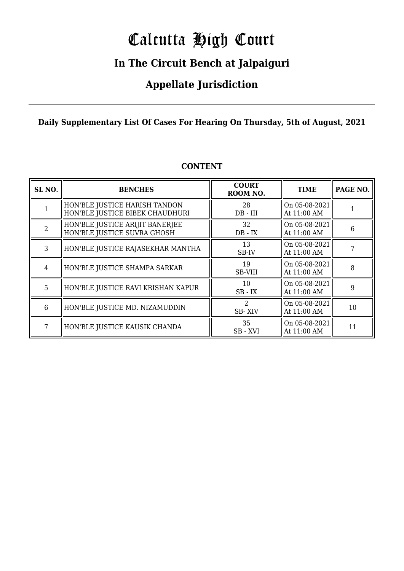# Calcutta High Court

### **In The Circuit Bench at Jalpaiguri**

### **Appellate Jurisdiction**

**Daily Supplementary List Of Cases For Hearing On Thursday, 5th of August, 2021**

| SL <sub>NO.</sub> | <b>BENCHES</b>                                                   | <b>COURT</b><br>ROOM NO. | <b>TIME</b>                             | PAGE NO. |
|-------------------|------------------------------------------------------------------|--------------------------|-----------------------------------------|----------|
|                   | HON'BLE JUSTICE HARISH TANDON<br>HON'BLE JUSTICE BIBEK CHAUDHURI | 28<br>$DB$ - $III$       | $ On 05-08-2021$<br>At 11:00 AM         |          |
| $\mathcal{D}$     | HON'BLE JUSTICE ARIJIT BANERJEE <br>HON'BLE JUSTICE SUVRA GHOSH  | 32<br>$DB - IX$          | On 05-08-2021<br>At 11:00 AM            | 6        |
| 3                 | HON'BLE JUSTICE RAJASEKHAR MANTHA                                | 13<br>SB-IV              | $ On 05-08-2021 $<br>At 11:00 AM        |          |
| 4                 | HON'BLE JUSTICE SHAMPA SARKAR                                    | 19<br>SB-VIII            | $ On 05-08-2021$<br>$\vert$ At 11:00 AM | 8        |
| 5                 | HON'BLE JUSTICE RAVI KRISHAN KAPUR                               | 10<br>$SB$ - $IX$        | On 05-08-2021<br>At 11:00 AM            | 9        |
| 6                 | HON'BLE JUSTICE MD. NIZAMUDDIN                                   | 2<br>SB-XIV              | On 05-08-2021<br>At 11:00 AM            | 10       |
| 7                 | HON'BLE JUSTICE KAUSIK CHANDA                                    | 35<br>SB - XVI           | On 05-08-2021<br>  At 11:00 AM          | 11       |

#### **CONTENT**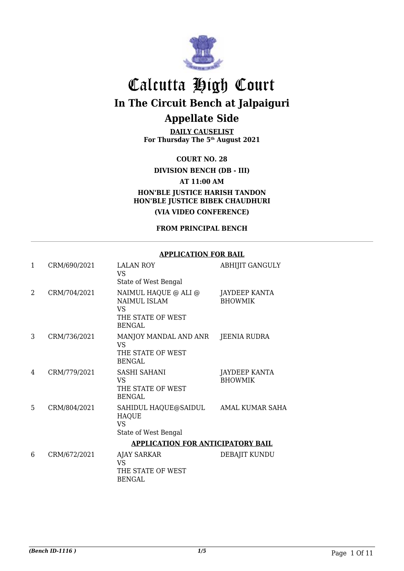

**DAILY CAUSELIST For Thursday The 5th August 2021**

**COURT NO. 28**

**DIVISION BENCH (DB - III)**

**AT 11:00 AM**

#### **HON'BLE JUSTICE HARISH TANDON HON'BLE JUSTICE BIBEK CHAUDHURI**

**(VIA VIDEO CONFERENCE)**

**FROM PRINCIPAL BENCH**

#### **APPLICATION FOR BAIL**

| 1 | CRM/690/2021 | <b>LALAN ROY</b><br><b>VS</b><br>State of West Bengal                                   | <b>ABHIJIT GANGULY</b>                 |
|---|--------------|-----------------------------------------------------------------------------------------|----------------------------------------|
| 2 | CRM/704/2021 | NAIMUL HAQUE @ ALI @<br><b>NAIMUL ISLAM</b><br>VS<br>THE STATE OF WEST<br><b>BENGAL</b> | <b>JAYDEEP KANTA</b><br><b>BHOWMIK</b> |
| 3 | CRM/736/2021 | MANJOY MANDAL AND ANR JEENIA RUDRA<br><b>VS</b><br>THE STATE OF WEST<br><b>BENGAL</b>   |                                        |
| 4 | CRM/779/2021 | <b>SASHI SAHANI</b><br>VS<br>THE STATE OF WEST<br><b>BENGAL</b>                         | <b>JAYDEEP KANTA</b><br><b>BHOWMIK</b> |
| 5 | CRM/804/2021 | SAHIDUL HAQUE@SAIDUL<br><b>HAQUE</b><br><b>VS</b><br>State of West Bengal               | <b>AMAL KUMAR SAHA</b>                 |
|   |              | <b>APPLICATION FOR ANTICIPATORY BAIL</b>                                                |                                        |
| 6 | CRM/672/2021 | <b>AJAY SARKAR</b><br><b>VS</b><br>THE STATE OF WEST<br><b>BENGAL</b>                   | DEBAJIT KUNDU                          |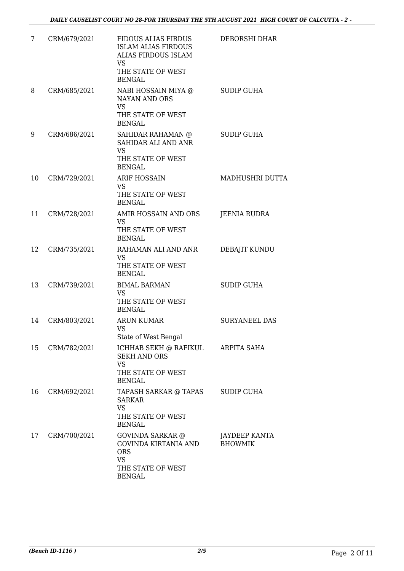| 7  | CRM/679/2021 | <b>FIDOUS ALIAS FIRDUS</b><br><b>ISLAM ALIAS FIRDOUS</b><br>ALIAS FIRDOUS ISLAM<br><b>VS</b><br>THE STATE OF WEST<br><b>BENGAL</b> | DEBORSHI DHAR                   |
|----|--------------|------------------------------------------------------------------------------------------------------------------------------------|---------------------------------|
| 8  | CRM/685/2021 | NABI HOSSAIN MIYA @<br><b>NAYAN AND ORS</b><br><b>VS</b><br>THE STATE OF WEST<br><b>BENGAL</b>                                     | <b>SUDIP GUHA</b>               |
| 9  | CRM/686/2021 | SAHIDAR RAHAMAN @<br>SAHIDAR ALI AND ANR<br><b>VS</b><br>THE STATE OF WEST<br><b>BENGAL</b>                                        | <b>SUDIP GUHA</b>               |
| 10 | CRM/729/2021 | <b>ARIF HOSSAIN</b><br><b>VS</b><br>THE STATE OF WEST<br><b>BENGAL</b>                                                             | MADHUSHRI DUTTA                 |
| 11 | CRM/728/2021 | AMIR HOSSAIN AND ORS<br><b>VS</b><br>THE STATE OF WEST<br><b>BENGAL</b>                                                            | <b>JEENIA RUDRA</b>             |
| 12 | CRM/735/2021 | RAHAMAN ALI AND ANR<br><b>VS</b><br>THE STATE OF WEST<br><b>BENGAL</b>                                                             | DEBAJIT KUNDU                   |
| 13 | CRM/739/2021 | <b>BIMAL BARMAN</b><br><b>VS</b><br>THE STATE OF WEST<br><b>BENGAL</b>                                                             | <b>SUDIP GUHA</b>               |
| 14 | CRM/803/2021 | <b>ARUN KUMAR</b><br>VS<br>State of West Bengal                                                                                    | <b>SURYANEEL DAS</b>            |
| 15 | CRM/782/2021 | ICHHAB SEKH @ RAFIKUL ARPITA SAHA<br><b>SEKH AND ORS</b><br><b>VS</b><br>THE STATE OF WEST<br><b>BENGAL</b>                        |                                 |
| 16 | CRM/692/2021 | TAPASH SARKAR @ TAPAS<br><b>SARKAR</b><br><b>VS</b><br>THE STATE OF WEST<br><b>BENGAL</b>                                          | <b>SUDIP GUHA</b>               |
| 17 | CRM/700/2021 | GOVINDA SARKAR @<br>GOVINDA KIRTANIA AND<br><b>ORS</b><br><b>VS</b><br>THE STATE OF WEST<br><b>BENGAL</b>                          | JAYDEEP KANTA<br><b>BHOWMIK</b> |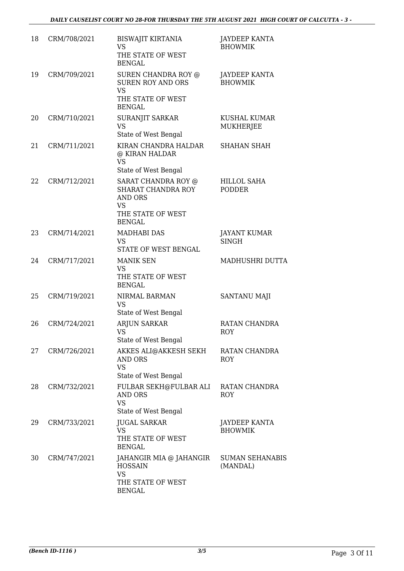| 18 | CRM/708/2021 | <b>BISWAJIT KIRTANIA</b><br><b>VS</b><br>THE STATE OF WEST<br><b>BENGAL</b>                                    | <b>JAYDEEP KANTA</b><br><b>BHOWMIK</b> |
|----|--------------|----------------------------------------------------------------------------------------------------------------|----------------------------------------|
| 19 | CRM/709/2021 | SUREN CHANDRA ROY @<br><b>SUREN ROY AND ORS</b><br><b>VS</b><br>THE STATE OF WEST<br><b>BENGAL</b>             | <b>JAYDEEP KANTA</b><br><b>BHOWMIK</b> |
| 20 | CRM/710/2021 | SURANJIT SARKAR<br><b>VS</b><br>State of West Bengal                                                           | KUSHAL KUMAR<br>MUKHERJEE              |
| 21 | CRM/711/2021 | KIRAN CHANDRA HALDAR<br>@ KIRAN HALDAR<br><b>VS</b><br>State of West Bengal                                    | <b>SHAHAN SHAH</b>                     |
| 22 | CRM/712/2021 | SARAT CHANDRA ROY @<br>SHARAT CHANDRA ROY<br><b>AND ORS</b><br><b>VS</b><br>THE STATE OF WEST<br><b>BENGAL</b> | HILLOL SAHA<br><b>PODDER</b>           |
| 23 | CRM/714/2021 | <b>MADHABI DAS</b><br><b>VS</b><br>STATE OF WEST BENGAL                                                        | <b>JAYANT KUMAR</b><br><b>SINGH</b>    |
| 24 | CRM/717/2021 | <b>MANIK SEN</b><br><b>VS</b><br>THE STATE OF WEST<br><b>BENGAL</b>                                            | MADHUSHRI DUTTA                        |
| 25 | CRM/719/2021 | NIRMAL BARMAN<br><b>VS</b><br>State of West Bengal                                                             | SANTANU MAJI                           |
| 26 | CRM/724/2021 | <b>ARJUN SARKAR</b><br><b>VS</b><br>State of West Bengal                                                       | RATAN CHANDRA<br><b>ROY</b>            |
| 27 | CRM/726/2021 | AKKES ALI@AKKESH SEKH<br>AND ORS<br><b>VS</b><br>State of West Bengal                                          | RATAN CHANDRA<br><b>ROY</b>            |
| 28 | CRM/732/2021 | FULBAR SEKH@FULBAR ALI<br><b>AND ORS</b><br><b>VS</b><br>State of West Bengal                                  | RATAN CHANDRA<br><b>ROY</b>            |
| 29 | CRM/733/2021 | <b>JUGAL SARKAR</b><br><b>VS</b><br>THE STATE OF WEST<br><b>BENGAL</b>                                         | JAYDEEP KANTA<br><b>BHOWMIK</b>        |
| 30 | CRM/747/2021 | JAHANGIR MIA @ JAHANGIR<br><b>HOSSAIN</b><br><b>VS</b><br>THE STATE OF WEST<br><b>BENGAL</b>                   | <b>SUMAN SEHANABIS</b><br>(MANDAL)     |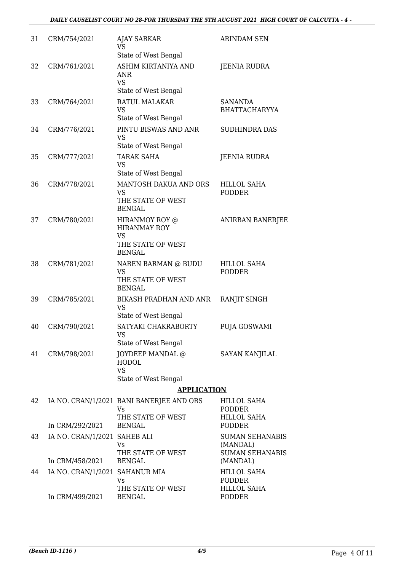| 31 | CRM/754/2021                                    | <b>AJAY SARKAR</b><br><b>VS</b><br>State of West Bengal                    | <b>ARINDAM SEN</b>                                                       |
|----|-------------------------------------------------|----------------------------------------------------------------------------|--------------------------------------------------------------------------|
| 32 | CRM/761/2021                                    | ASHIM KIRTANIYA AND<br><b>ANR</b><br><b>VS</b>                             | <b>JEENIA RUDRA</b>                                                      |
|    |                                                 | State of West Bengal                                                       |                                                                          |
| 33 | CRM/764/2021                                    | RATUL MALAKAR<br><b>VS</b><br>State of West Bengal                         | <b>SANANDA</b><br><b>BHATTACHARYYA</b>                                   |
| 34 | CRM/776/2021                                    | PINTU BISWAS AND ANR<br><b>VS</b>                                          | <b>SUDHINDRA DAS</b>                                                     |
| 35 | CRM/777/2021                                    | State of West Bengal<br><b>TARAK SAHA</b><br><b>VS</b>                     | <b>JEENIA RUDRA</b>                                                      |
|    |                                                 | State of West Bengal                                                       |                                                                          |
| 36 | CRM/778/2021                                    | MANTOSH DAKUA AND ORS<br><b>VS</b><br>THE STATE OF WEST<br><b>BENGAL</b>   | <b>HILLOL SAHA</b><br><b>PODDER</b>                                      |
| 37 | CRM/780/2021                                    | HIRANMOY ROY @<br><b>HIRANMAY ROY</b><br>VS                                | ANIRBAN BANERJEE                                                         |
|    |                                                 | THE STATE OF WEST<br><b>BENGAL</b>                                         |                                                                          |
| 38 | CRM/781/2021                                    | NAREN BARMAN @ BUDU<br><b>VS</b><br>THE STATE OF WEST<br><b>BENGAL</b>     | <b>HILLOL SAHA</b><br><b>PODDER</b>                                      |
| 39 | CRM/785/2021                                    | <b>BIKASH PRADHAN AND ANR</b><br><b>VS</b><br>State of West Bengal         | RANJIT SINGH                                                             |
| 40 | CRM/790/2021                                    | SATYAKI CHAKRABORTY<br>VS<br>State of West Bengal                          | PUJA GOSWAMI                                                             |
| 41 | CRM/798/2021                                    | <b>JOYDEEP MANDAL</b> @<br>HODOL<br><b>VS</b>                              | <b>SAYAN KANJILAL</b>                                                    |
|    |                                                 | State of West Bengal                                                       |                                                                          |
|    |                                                 | <b>APPLICATION</b>                                                         |                                                                          |
| 42 |                                                 | IA NO. CRAN/1/2021 BANI BANERJEE AND ORS<br><b>Vs</b><br>THE STATE OF WEST | <b>HILLOL SAHA</b><br><b>PODDER</b><br><b>HILLOL SAHA</b>                |
|    | In CRM/292/2021                                 | <b>BENGAL</b>                                                              | <b>PODDER</b>                                                            |
| 43 | IA NO. CRAN/1/2021 SAHEB ALI<br>In CRM/458/2021 | Vs<br>THE STATE OF WEST<br><b>BENGAL</b>                                   | <b>SUMAN SEHANABIS</b><br>(MANDAL)<br><b>SUMAN SEHANABIS</b><br>(MANDAL) |
| 44 | IA NO. CRAN/1/2021 SAHANUR MIA                  | Vs                                                                         | <b>HILLOL SAHA</b><br><b>PODDER</b>                                      |
|    | In CRM/499/2021                                 | THE STATE OF WEST<br><b>BENGAL</b>                                         | HILLOL SAHA<br>PODDER                                                    |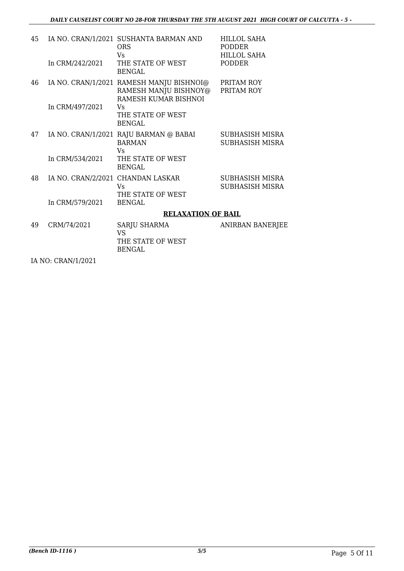|                 | <b>ORS</b><br>Vs                                          | <b>HILLOL SAHA</b><br><b>PODDER</b><br><b>HILLOL SAHA</b>                                                                                                                                      |
|-----------------|-----------------------------------------------------------|------------------------------------------------------------------------------------------------------------------------------------------------------------------------------------------------|
| In CRM/242/2021 | THE STATE OF WEST<br><b>BENGAL</b>                        | <b>PODDER</b>                                                                                                                                                                                  |
|                 | RAMESH MANJU BISHNOY@<br>RAMESH KUMAR BISHNOI             | PRITAM ROY<br>PRITAM ROY                                                                                                                                                                       |
| In CRM/497/2021 | Vs<br>THE STATE OF WEST<br><b>BENGAL</b>                  |                                                                                                                                                                                                |
|                 | <b>BARMAN</b><br>Vs.                                      | SUBHASISH MISRA<br>SUBHASISH MISRA                                                                                                                                                             |
| In CRM/534/2021 | THE STATE OF WEST<br><b>BENGAL</b>                        |                                                                                                                                                                                                |
|                 | Vs<br>THE STATE OF WEST                                   | SUBHASISH MISRA<br>SUBHASISH MISRA                                                                                                                                                             |
| In CRM/579/2021 | <b>BENGAL</b>                                             |                                                                                                                                                                                                |
|                 |                                                           |                                                                                                                                                                                                |
| CRM/74/2021     | SARJU SHARMA<br>VS.<br>THE STATE OF WEST<br><b>BENGAL</b> | <b>ANIRBAN BANERJEE</b>                                                                                                                                                                        |
|                 |                                                           | IA NO. CRAN/1/2021 SUSHANTA BARMAN AND<br>IA NO. CRAN/1/2021 RAMESH MANJU BISHNOI@<br>IA NO. CRAN/1/2021 RAJU BARMAN @ BABAI<br>IA NO. CRAN/2/2021 CHANDAN LASKAR<br><b>RELAXATION OF BAIL</b> |

IA NO: CRAN/1/2021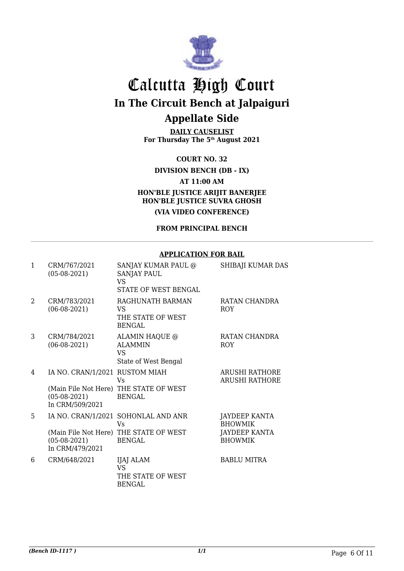

**DAILY CAUSELIST For Thursday The 5th August 2021**

**COURT NO. 32**

**DIVISION BENCH (DB - IX)**

**AT 11:00 AM**

**HON'BLE JUSTICE ARIJIT BANERJEE HON'BLE JUSTICE SUVRA GHOSH**

**(VIA VIDEO CONFERENCE)**

**FROM PRINCIPAL BENCH**

#### **APPLICATION FOR BAIL**

| 1                           | CRM/767/2021<br>$(05-08-2021)$                                      | <b>SANJAY KUMAR PAUL @</b><br><b>SANJAY PAUL</b><br><b>VS</b><br><b>STATE OF WEST BENGAL</b>         | SHIBAJI KUMAR DAS                                                         |
|-----------------------------|---------------------------------------------------------------------|------------------------------------------------------------------------------------------------------|---------------------------------------------------------------------------|
| $\mathcal{D}_{\mathcal{L}}$ | CRM/783/2021<br>$(06-08-2021)$                                      | RAGHUNATH BARMAN<br>VS<br>THE STATE OF WEST<br><b>BENGAL</b>                                         | RATAN CHANDRA<br><b>ROY</b>                                               |
| 3                           | CRM/784/2021<br>$(06-08-2021)$                                      | ALAMIN HAQUE @<br><b>ALAMMIN</b><br>VS<br>State of West Bengal                                       | RATAN CHANDRA<br><b>ROY</b>                                               |
| 4                           | IA NO. CRAN/1/2021 RUSTOM MIAH<br>$(05-08-2021)$<br>In CRM/509/2021 | Vs<br>(Main File Not Here) THE STATE OF WEST<br><b>BENGAL</b>                                        | <b>ARUSHI RATHORE</b><br><b>ARUSHI RATHORE</b>                            |
| 5                           | $(05-08-2021)$<br>In CRM/479/2021                                   | IA NO. CRAN/1/2021 SOHONLAL AND ANR<br>Vs<br>(Main File Not Here) THE STATE OF WEST<br><b>BENGAL</b> | JAYDEEP KANTA<br><b>BHOWMIK</b><br><b>JAYDEEP KANTA</b><br><b>BHOWMIK</b> |
| 6                           | CRM/648/2021                                                        | IJAJ ALAM<br>VS <sub>1</sub><br>THE STATE OF WEST<br><b>BENGAL</b>                                   | <b>BABLU MITRA</b>                                                        |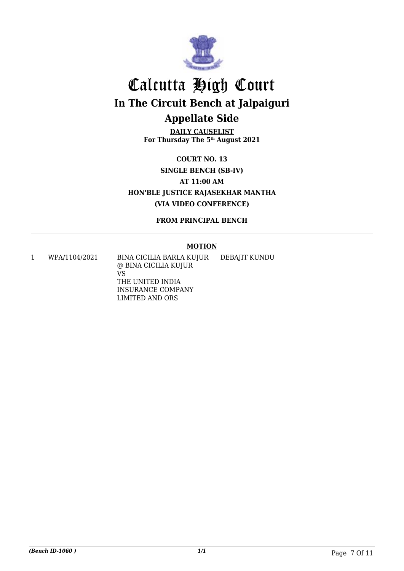

**DAILY CAUSELIST For Thursday The 5th August 2021**

**COURT NO. 13 SINGLE BENCH (SB-IV) AT 11:00 AM HON'BLE JUSTICE RAJASEKHAR MANTHA (VIA VIDEO CONFERENCE)**

**FROM PRINCIPAL BENCH**

#### **MOTION**

1 WPA/1104/2021 BINA CICILIA BARLA KUJUR @ BINA CICILIA KUJUR VS THE UNITED INDIA INSURANCE COMPANY LIMITED AND ORS DEBAJIT KUNDU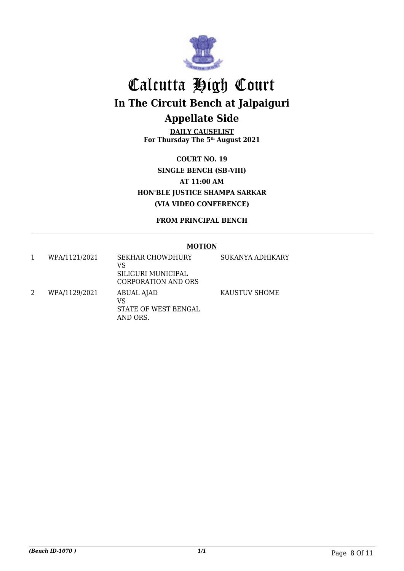

**DAILY CAUSELIST For Thursday The 5th August 2021**

**COURT NO. 19 SINGLE BENCH (SB-VIII) AT 11:00 AM HON'BLE JUSTICE SHAMPA SARKAR (VIA VIDEO CONFERENCE)**

**FROM PRINCIPAL BENCH**

#### **MOTION**

|   | WPA/1121/2021 | <b>SEKHAR CHOWDHURY</b><br>VS<br>SILIGURI MUNICIPAL<br><b>CORPORATION AND ORS</b> | SUKANYA ADHIKARY |
|---|---------------|-----------------------------------------------------------------------------------|------------------|
| 2 | WPA/1129/2021 | ABUAL AJAD<br>VS<br>STATE OF WEST BENGAL<br>AND ORS.                              | KAUSTUV SHOME    |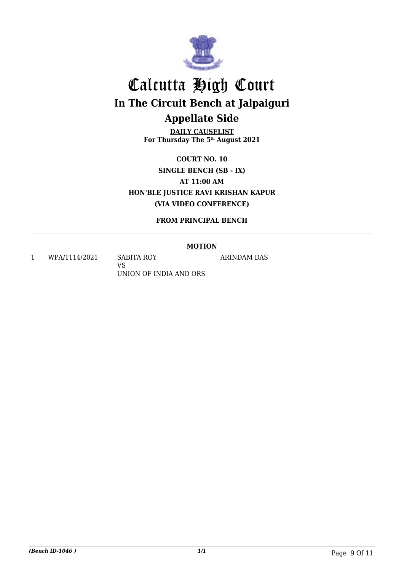

**DAILY CAUSELIST For Thursday The 5th August 2021**

**COURT NO. 10 SINGLE BENCH (SB - IX) AT 11:00 AM HON'BLE JUSTICE RAVI KRISHAN KAPUR (VIA VIDEO CONFERENCE)**

**FROM PRINCIPAL BENCH**

#### **MOTION**

ARINDAM DAS

1 WPA/1114/2021 SABITA ROY

VS UNION OF INDIA AND ORS

*(Bench ID-1046 ) 1/1* Page 9 Of 11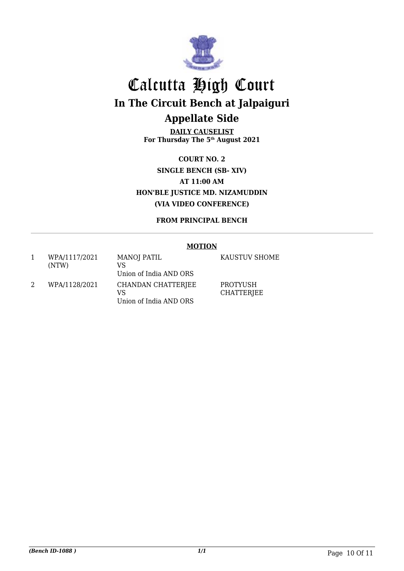

**DAILY CAUSELIST For Thursday The 5th August 2021**

**COURT NO. 2 SINGLE BENCH (SB- XIV) AT 11:00 AM HON'BLE JUSTICE MD. NIZAMUDDIN (VIA VIDEO CONFERENCE)**

**FROM PRINCIPAL BENCH**

#### **MOTION**

1 WPA/1117/2021 (NTW) MANOJ PATIL VS Union of India AND ORS 2 WPA/1128/2021 CHANDAN CHATTERJEE VS Union of India AND ORS

KAUSTUV SHOME

PROTYUSH **CHATTERJEE**